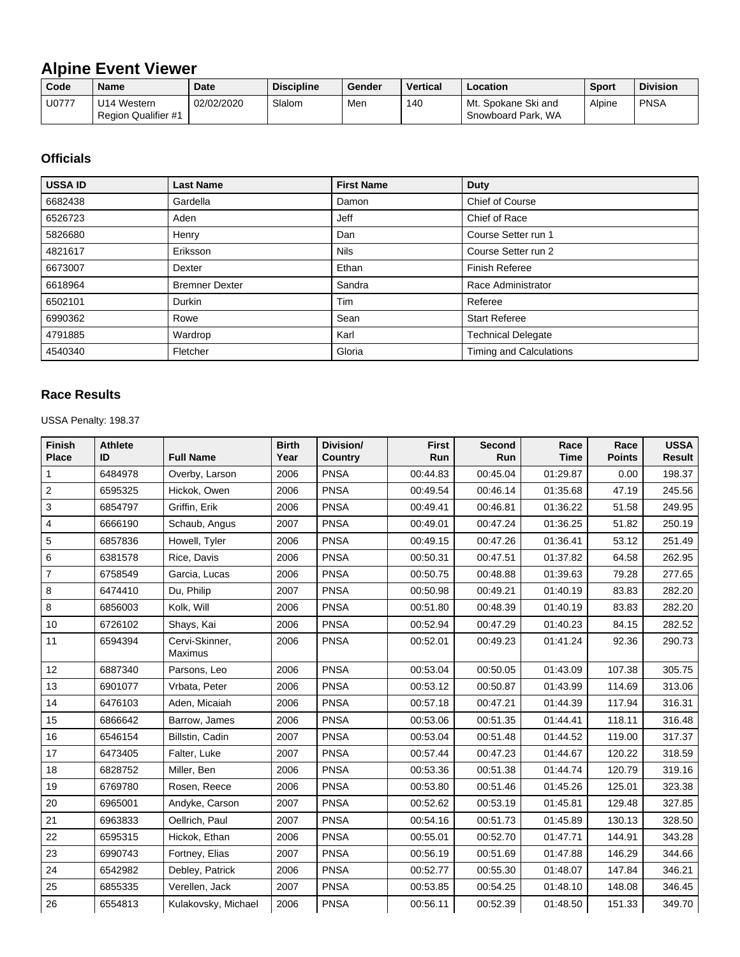## **Alpine Event Viewer**

| Code  | <b>Name</b>                               | <b>Date</b> | <b>Discipline</b> | Gender | <b>Vertical</b> | Location                                  | <b>Sport</b> | <b>Division</b> |
|-------|-------------------------------------------|-------------|-------------------|--------|-----------------|-------------------------------------------|--------------|-----------------|
| U0777 | U14 Western<br><b>Region Qualifier #1</b> | 02/02/2020  | Slalom            | Men    | 140             | Mt. Spokane Ski and<br>Snowboard Park, WA | Alpine       | <b>PNSA</b>     |

## **Officials**

| <b>USSA ID</b> | <b>Last Name</b>      | <b>First Name</b> | <b>Duty</b>               |
|----------------|-----------------------|-------------------|---------------------------|
| 6682438        | Gardella              | Damon             | Chief of Course           |
| 6526723        | Aden                  | Jeff              | Chief of Race             |
| 5826680        | Henry                 | Dan               | Course Setter run 1       |
| 4821617        | Eriksson              | <b>Nils</b>       | Course Setter run 2       |
| 6673007        | Dexter                | Ethan             | <b>Finish Referee</b>     |
| 6618964        | <b>Bremner Dexter</b> | Sandra            | Race Administrator        |
| 6502101        | Durkin                | Tim               | Referee                   |
| 6990362        | Rowe                  | Sean              | <b>Start Referee</b>      |
| 4791885        | Wardrop               | Karl              | <b>Technical Delegate</b> |
| 4540340        | Fletcher              | Gloria            | Timing and Calculations   |

## **Race Results**

USSA Penalty: 198.37

| <b>Finish</b><br><b>Place</b> | <b>Athlete</b><br>ID | <b>Full Name</b>          | <b>Birth</b><br>Year | Division/<br><b>Country</b> | <b>First</b><br>Run | <b>Second</b><br>Run | Race<br><b>Time</b> | Race<br><b>Points</b> | <b>USSA</b><br><b>Result</b> |
|-------------------------------|----------------------|---------------------------|----------------------|-----------------------------|---------------------|----------------------|---------------------|-----------------------|------------------------------|
| 1                             | 6484978              | Overby, Larson            | 2006                 | <b>PNSA</b>                 | 00:44.83            | 00:45.04             | 01:29.87            | 0.00                  | 198.37                       |
| 2                             | 6595325              | Hickok, Owen              | 2006                 | <b>PNSA</b>                 | 00:49.54            | 00:46.14             | 01:35.68            | 47.19                 | 245.56                       |
| 3                             | 6854797              | Griffin, Erik             | 2006                 | <b>PNSA</b>                 | 00:49.41            | 00:46.81             | 01:36.22            | 51.58                 | 249.95                       |
| 4                             | 6666190              | Schaub, Angus             | 2007                 | <b>PNSA</b>                 | 00:49.01            | 00:47.24             | 01:36.25            | 51.82                 | 250.19                       |
| 5                             | 6857836              | Howell, Tyler             | 2006                 | <b>PNSA</b>                 | 00:49.15            | 00:47.26             | 01:36.41            | 53.12                 | 251.49                       |
| 6                             | 6381578              | Rice, Davis               | 2006                 | <b>PNSA</b>                 | 00:50.31            | 00:47.51             | 01:37.82            | 64.58                 | 262.95                       |
| 7                             | 6758549              | Garcia, Lucas             | 2006                 | <b>PNSA</b>                 | 00:50.75            | 00:48.88             | 01:39.63            | 79.28                 | 277.65                       |
| 8                             | 6474410              | Du, Philip                | 2007                 | <b>PNSA</b>                 | 00:50.98            | 00:49.21             | 01:40.19            | 83.83                 | 282.20                       |
| 8                             | 6856003              | Kolk, Will                | 2006                 | <b>PNSA</b>                 | 00:51.80            | 00:48.39             | 01:40.19            | 83.83                 | 282.20                       |
| 10                            | 6726102              | Shays, Kai                | 2006                 | <b>PNSA</b>                 | 00:52.94            | 00:47.29             | 01:40.23            | 84.15                 | 282.52                       |
| 11                            | 6594394              | Cervi-Skinner,<br>Maximus | 2006                 | <b>PNSA</b>                 | 00:52.01            | 00:49.23             | 01:41.24            | 92.36                 | 290.73                       |
| 12                            | 6887340              | Parsons, Leo              | 2006                 | <b>PNSA</b>                 | 00:53.04            | 00:50.05             | 01:43.09            | 107.38                | 305.75                       |
| 13                            | 6901077              | Vrbata, Peter             | 2006                 | <b>PNSA</b>                 | 00:53.12            | 00:50.87             | 01:43.99            | 114.69                | 313.06                       |
| 14                            | 6476103              | Aden, Micaiah             | 2006                 | <b>PNSA</b>                 | 00:57.18            | 00:47.21             | 01:44.39            | 117.94                | 316.31                       |
| 15                            | 6866642              | Barrow, James             | 2006                 | <b>PNSA</b>                 | 00:53.06            | 00:51.35             | 01:44.41            | 118.11                | 316.48                       |
| 16                            | 6546154              | Billstin, Cadin           | 2007                 | <b>PNSA</b>                 | 00:53.04            | 00:51.48             | 01:44.52            | 119.00                | 317.37                       |
| 17                            | 6473405              | Falter, Luke              | 2007                 | <b>PNSA</b>                 | 00:57.44            | 00:47.23             | 01:44.67            | 120.22                | 318.59                       |
| 18                            | 6828752              | Miller, Ben               | 2006                 | <b>PNSA</b>                 | 00:53.36            | 00:51.38             | 01:44.74            | 120.79                | 319.16                       |
| 19                            | 6769780              | Rosen, Reece              | 2006                 | <b>PNSA</b>                 | 00:53.80            | 00:51.46             | 01:45.26            | 125.01                | 323.38                       |
| 20                            | 6965001              | Andyke, Carson            | 2007                 | <b>PNSA</b>                 | 00:52.62            | 00:53.19             | 01:45.81            | 129.48                | 327.85                       |
| 21                            | 6963833              | Oellrich, Paul            | 2007                 | <b>PNSA</b>                 | 00:54.16            | 00:51.73             | 01:45.89            | 130.13                | 328.50                       |
| 22                            | 6595315              | Hickok, Ethan             | 2006                 | <b>PNSA</b>                 | 00:55.01            | 00:52.70             | 01:47.71            | 144.91                | 343.28                       |
| 23                            | 6990743              | Fortney, Elias            | 2007                 | <b>PNSA</b>                 | 00:56.19            | 00:51.69             | 01:47.88            | 146.29                | 344.66                       |
| 24                            | 6542982              | Debley, Patrick           | 2006                 | <b>PNSA</b>                 | 00:52.77            | 00:55.30             | 01:48.07            | 147.84                | 346.21                       |
| 25                            | 6855335              | Verellen, Jack            | 2007                 | <b>PNSA</b>                 | 00:53.85            | 00:54.25             | 01:48.10            | 148.08                | 346.45                       |
| 26                            | 6554813              | Kulakovsky, Michael       | 2006                 | <b>PNSA</b>                 | 00:56.11            | 00:52.39             | 01:48.50            | 151.33                | 349.70                       |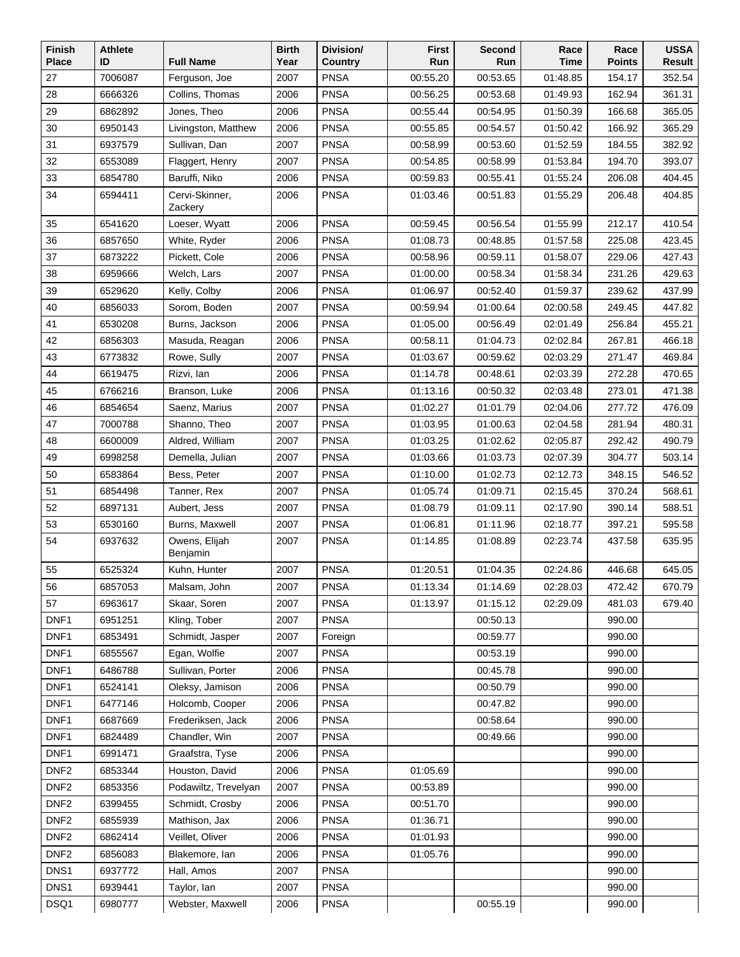| 27<br>7006087<br><b>PNSA</b><br>00:55.20<br>00:53.65<br>Ferguson, Joe<br>2007<br>01:48.85<br>154.17<br>352.54<br><b>PNSA</b><br>361.31<br>28<br>6666326<br>Collins, Thomas<br>2006<br>00:56.25<br>00:53.68<br>01:49.93<br>162.94<br>29<br>6862892<br>2006<br><b>PNSA</b><br>365.05<br>Jones, Theo<br>00:55.44<br>00:54.95<br>01:50.39<br>166.68<br>30<br><b>PNSA</b><br>6950143<br>Livingston, Matthew<br>2006<br>00:55.85<br>00:54.57<br>01:50.42<br>166.92<br>365.29<br>31<br>6937579<br>Sullivan, Dan<br>2007<br><b>PNSA</b><br>00:58.99<br>01:52.59<br>184.55<br>382.92<br>00:53.60<br>32<br>2007<br><b>PNSA</b><br>01:53.84<br>393.07<br>6553089<br>Flaggert, Henry<br>00:54.85<br>00:58.99<br>194.70<br>33<br><b>PNSA</b><br>404.45<br>6854780<br>Baruffi, Niko<br>2006<br>00:59.83<br>00:55.41<br>01:55.24<br>206.08<br>34<br>Cervi-Skinner,<br><b>PNSA</b><br>404.85<br>6594411<br>2006<br>01:03.46<br>00:51.83<br>01:55.29<br>206.48<br>Zackery<br>35<br>6541620<br><b>PNSA</b><br>00:59.45<br>00:56.54<br>Loeser, Wyatt<br>2006<br>01:55.99<br>212.17<br>410.54<br><b>PNSA</b><br>36<br>White, Ryder<br>2006<br>01:08.73<br>00:48.85<br>225.08<br>423.45<br>6857650<br>01:57.58<br>37<br><b>PNSA</b><br>00:58.96<br>427.43<br>6873222<br>Pickett, Cole<br>2006<br>00:59.11<br>01:58.07<br>229.06<br>38<br><b>PNSA</b><br>6959666<br>Welch, Lars<br>2007<br>01:00.00<br>00:58.34<br>01:58.34<br>231.26<br>429.63<br>39<br><b>PNSA</b><br>01:06.97<br>00:52.40<br>01:59.37<br>437.99<br>6529620<br>Kelly, Colby<br>2006<br>239.62<br>40<br>2007<br><b>PNSA</b><br>249.45<br>6856033<br>Sorom, Boden<br>00:59.94<br>01:00.64<br>02:00.58<br>447.82<br>41<br><b>PNSA</b><br>256.84<br>6530208<br>Burns, Jackson<br>2006<br>01:05.00<br>00:56.49<br>02:01.49<br>455.21<br>42<br><b>PNSA</b><br>01:04.73<br>466.18<br>6856303<br>Masuda, Reagan<br>2006<br>00:58.11<br>02:02.84<br>267.81<br>43<br>6773832<br><b>PNSA</b><br>01:03.67<br>469.84<br>Rowe, Sully<br>2007<br>00:59.62<br>02:03.29<br>271.47<br>44<br><b>PNSA</b><br>6619475<br>Rizvi, lan<br>2006<br>01:14.78<br>00:48.61<br>02:03.39<br>272.28<br>470.65<br>45<br><b>PNSA</b><br>471.38<br>6766216<br>2006<br>01:13.16<br>00:50.32<br>02:03.48<br>273.01<br>Branson, Luke<br><b>PNSA</b><br>46<br>2007<br>01:02.27<br>01:01.79<br>02:04.06<br>277.72<br>476.09<br>6854654<br>Saenz, Marius<br>47<br>7000788<br>Shanno, Theo<br>2007<br><b>PNSA</b><br>01:03.95<br>01:00.63<br>02:04.58<br>281.94<br>480.31<br><b>PNSA</b><br>48<br>6600009<br>Aldred, William<br>2007<br>01:03.25<br>01:02.62<br>02:05.87<br>292.42<br>490.79<br>49<br>6998258<br>Demella, Julian<br>2007<br><b>PNSA</b><br>01:03.66<br>01:03.73<br>304.77<br>503.14<br>02:07.39<br>50<br><b>PNSA</b><br>348.15<br>6583864<br>Bess, Peter<br>2007<br>01:10.00<br>01:02.73<br>02:12.73<br>546.52<br>51<br><b>PNSA</b><br>568.61<br>6854498<br>Tanner, Rex<br>2007<br>01:05.74<br>01:09.71<br>02:15.45<br>370.24<br>52<br><b>PNSA</b><br>01:08.79<br>6897131<br>Aubert, Jess<br>2007<br>01:09.11<br>02:17.90<br>390.14<br>588.51<br>53<br><b>PNSA</b><br>595.58<br>6530160<br>Burns, Maxwell<br>2007<br>01:06.81<br>01:11.96<br>02:18.77<br>397.21<br>54<br><b>PNSA</b><br>635.95<br>6937632<br>Owens, Elijah<br>2007<br>01:14.85<br>01:08.89<br>02:23.74<br>437.58<br>Benjamin<br><b>PNSA</b><br>55<br>6525324<br>2007<br>01:20.51<br>01:04.35<br>02:24.86<br>446.68<br>645.05<br>Kuhn, Hunter<br>56<br>6857053<br>Malsam, John<br>2007<br><b>PNSA</b><br>01:13.34<br>01:14.69<br>02:28.03<br>472.42<br>670.79<br>57<br><b>PNSA</b><br>01:15.12<br>6963617<br>Skaar, Soren<br>2007<br>01:13.97<br>02:29.09<br>481.03<br>679.40<br>DNF1<br>6951251<br>Kling, Tober<br><b>PNSA</b><br>2007<br>00:50.13<br>990.00<br>DNF1<br>6853491<br>00:59.77<br>990.00<br>Schmidt, Jasper<br>2007<br>Foreign<br>DNF1<br>Egan, Wolfie<br>6855567<br>2007<br><b>PNSA</b><br>00:53.19<br>990.00<br>DNF1<br>6486788<br>Sullivan, Porter<br><b>PNSA</b><br>00:45.78<br>990.00<br>2006<br>DNF1<br><b>PNSA</b><br>6524141<br>Oleksy, Jamison<br>2006<br>00:50.79<br>990.00<br>DNF1<br>6477146<br><b>PNSA</b><br>00:47.82<br>990.00<br>Holcomb, Cooper<br>2006<br>DNF1<br>6687669<br>Frederiksen, Jack<br>2006<br><b>PNSA</b><br>00:58.64<br>990.00<br>DNF1<br>6824489<br>Chandler, Win<br>2007<br><b>PNSA</b><br>00:49.66<br>990.00<br>DNF1<br>6991471<br>Graafstra, Tyse<br><b>PNSA</b><br>990.00<br>2006<br>DNF <sub>2</sub><br>6853344<br>Houston, David<br><b>PNSA</b><br>01:05.69<br>990.00<br>2006<br>DNF <sub>2</sub><br>Podawiltz, Trevelyan<br><b>PNSA</b><br>6853356<br>2007<br>00:53.89<br>990.00<br>DNF <sub>2</sub><br><b>PNSA</b><br>6399455<br>Schmidt, Crosby<br>2006<br>00:51.70<br>990.00<br>DNF <sub>2</sub><br><b>PNSA</b><br>6855939<br>Mathison, Jax<br>2006<br>01:36.71<br>990.00<br>DNF <sub>2</sub><br><b>PNSA</b><br>6862414<br>Veillet, Oliver<br>2006<br>01:01.93<br>990.00<br>DNF <sub>2</sub><br><b>PNSA</b><br>01:05.76<br>990.00<br>6856083<br>Blakemore, lan<br>2006<br>DNS1<br>6937772<br>Hall, Amos<br><b>PNSA</b><br>990.00<br>2007<br>DNS1<br><b>PNSA</b><br>6939441<br>Taylor, lan<br>2007<br>990.00 | Finish       | <b>Athlete</b> |                  | <b>Birth</b> | Division/   | First | Second   | Race | Race          | <b>USSA</b> |
|-------------------------------------------------------------------------------------------------------------------------------------------------------------------------------------------------------------------------------------------------------------------------------------------------------------------------------------------------------------------------------------------------------------------------------------------------------------------------------------------------------------------------------------------------------------------------------------------------------------------------------------------------------------------------------------------------------------------------------------------------------------------------------------------------------------------------------------------------------------------------------------------------------------------------------------------------------------------------------------------------------------------------------------------------------------------------------------------------------------------------------------------------------------------------------------------------------------------------------------------------------------------------------------------------------------------------------------------------------------------------------------------------------------------------------------------------------------------------------------------------------------------------------------------------------------------------------------------------------------------------------------------------------------------------------------------------------------------------------------------------------------------------------------------------------------------------------------------------------------------------------------------------------------------------------------------------------------------------------------------------------------------------------------------------------------------------------------------------------------------------------------------------------------------------------------------------------------------------------------------------------------------------------------------------------------------------------------------------------------------------------------------------------------------------------------------------------------------------------------------------------------------------------------------------------------------------------------------------------------------------------------------------------------------------------------------------------------------------------------------------------------------------------------------------------------------------------------------------------------------------------------------------------------------------------------------------------------------------------------------------------------------------------------------------------------------------------------------------------------------------------------------------------------------------------------------------------------------------------------------------------------------------------------------------------------------------------------------------------------------------------------------------------------------------------------------------------------------------------------------------------------------------------------------------------------------------------------------------------------------------------------------------------------------------------------------------------------------------------------------------------------------------------------------------------------------------------------------------------------------------------------------------------------------------------------------------------------------------------------------------------------------------------------------------------------------------------------------------------------------------------------------------------------------------------------------------------------------------------------------------------------------------------------------------------------------------------------------------------------------------------------------------------------------------------------------------------------------------------------------------------------------------------------------------------------------------------------------------------------------------------------------------------------------------------------------------------------------------------------------------------------------------------------------------------------------------------------------------------------------------------------------------------------------------------------------------------------------------------------------------------------------------------------------------------------------------------------------------------------------------------------------------------|--------------|----------------|------------------|--------------|-------------|-------|----------|------|---------------|-------------|
|                                                                                                                                                                                                                                                                                                                                                                                                                                                                                                                                                                                                                                                                                                                                                                                                                                                                                                                                                                                                                                                                                                                                                                                                                                                                                                                                                                                                                                                                                                                                                                                                                                                                                                                                                                                                                                                                                                                                                                                                                                                                                                                                                                                                                                                                                                                                                                                                                                                                                                                                                                                                                                                                                                                                                                                                                                                                                                                                                                                                                                                                                                                                                                                                                                                                                                                                                                                                                                                                                                                                                                                                                                                                                                                                                                                                                                                                                                                                                                                                                                                                                                                                                                                                                                                                                                                                                                                                                                                                                                                                                                                                                                                                                                                                                                                                                                                                                                                                                                                                                                                                                                                                                       | <b>Place</b> | ID             | <b>Full Name</b> | Year         | Country     | Run   | Run      | Time | <b>Points</b> | Result      |
|                                                                                                                                                                                                                                                                                                                                                                                                                                                                                                                                                                                                                                                                                                                                                                                                                                                                                                                                                                                                                                                                                                                                                                                                                                                                                                                                                                                                                                                                                                                                                                                                                                                                                                                                                                                                                                                                                                                                                                                                                                                                                                                                                                                                                                                                                                                                                                                                                                                                                                                                                                                                                                                                                                                                                                                                                                                                                                                                                                                                                                                                                                                                                                                                                                                                                                                                                                                                                                                                                                                                                                                                                                                                                                                                                                                                                                                                                                                                                                                                                                                                                                                                                                                                                                                                                                                                                                                                                                                                                                                                                                                                                                                                                                                                                                                                                                                                                                                                                                                                                                                                                                                                                       |              |                |                  |              |             |       |          |      |               |             |
|                                                                                                                                                                                                                                                                                                                                                                                                                                                                                                                                                                                                                                                                                                                                                                                                                                                                                                                                                                                                                                                                                                                                                                                                                                                                                                                                                                                                                                                                                                                                                                                                                                                                                                                                                                                                                                                                                                                                                                                                                                                                                                                                                                                                                                                                                                                                                                                                                                                                                                                                                                                                                                                                                                                                                                                                                                                                                                                                                                                                                                                                                                                                                                                                                                                                                                                                                                                                                                                                                                                                                                                                                                                                                                                                                                                                                                                                                                                                                                                                                                                                                                                                                                                                                                                                                                                                                                                                                                                                                                                                                                                                                                                                                                                                                                                                                                                                                                                                                                                                                                                                                                                                                       |              |                |                  |              |             |       |          |      |               |             |
|                                                                                                                                                                                                                                                                                                                                                                                                                                                                                                                                                                                                                                                                                                                                                                                                                                                                                                                                                                                                                                                                                                                                                                                                                                                                                                                                                                                                                                                                                                                                                                                                                                                                                                                                                                                                                                                                                                                                                                                                                                                                                                                                                                                                                                                                                                                                                                                                                                                                                                                                                                                                                                                                                                                                                                                                                                                                                                                                                                                                                                                                                                                                                                                                                                                                                                                                                                                                                                                                                                                                                                                                                                                                                                                                                                                                                                                                                                                                                                                                                                                                                                                                                                                                                                                                                                                                                                                                                                                                                                                                                                                                                                                                                                                                                                                                                                                                                                                                                                                                                                                                                                                                                       |              |                |                  |              |             |       |          |      |               |             |
|                                                                                                                                                                                                                                                                                                                                                                                                                                                                                                                                                                                                                                                                                                                                                                                                                                                                                                                                                                                                                                                                                                                                                                                                                                                                                                                                                                                                                                                                                                                                                                                                                                                                                                                                                                                                                                                                                                                                                                                                                                                                                                                                                                                                                                                                                                                                                                                                                                                                                                                                                                                                                                                                                                                                                                                                                                                                                                                                                                                                                                                                                                                                                                                                                                                                                                                                                                                                                                                                                                                                                                                                                                                                                                                                                                                                                                                                                                                                                                                                                                                                                                                                                                                                                                                                                                                                                                                                                                                                                                                                                                                                                                                                                                                                                                                                                                                                                                                                                                                                                                                                                                                                                       |              |                |                  |              |             |       |          |      |               |             |
|                                                                                                                                                                                                                                                                                                                                                                                                                                                                                                                                                                                                                                                                                                                                                                                                                                                                                                                                                                                                                                                                                                                                                                                                                                                                                                                                                                                                                                                                                                                                                                                                                                                                                                                                                                                                                                                                                                                                                                                                                                                                                                                                                                                                                                                                                                                                                                                                                                                                                                                                                                                                                                                                                                                                                                                                                                                                                                                                                                                                                                                                                                                                                                                                                                                                                                                                                                                                                                                                                                                                                                                                                                                                                                                                                                                                                                                                                                                                                                                                                                                                                                                                                                                                                                                                                                                                                                                                                                                                                                                                                                                                                                                                                                                                                                                                                                                                                                                                                                                                                                                                                                                                                       |              |                |                  |              |             |       |          |      |               |             |
|                                                                                                                                                                                                                                                                                                                                                                                                                                                                                                                                                                                                                                                                                                                                                                                                                                                                                                                                                                                                                                                                                                                                                                                                                                                                                                                                                                                                                                                                                                                                                                                                                                                                                                                                                                                                                                                                                                                                                                                                                                                                                                                                                                                                                                                                                                                                                                                                                                                                                                                                                                                                                                                                                                                                                                                                                                                                                                                                                                                                                                                                                                                                                                                                                                                                                                                                                                                                                                                                                                                                                                                                                                                                                                                                                                                                                                                                                                                                                                                                                                                                                                                                                                                                                                                                                                                                                                                                                                                                                                                                                                                                                                                                                                                                                                                                                                                                                                                                                                                                                                                                                                                                                       |              |                |                  |              |             |       |          |      |               |             |
|                                                                                                                                                                                                                                                                                                                                                                                                                                                                                                                                                                                                                                                                                                                                                                                                                                                                                                                                                                                                                                                                                                                                                                                                                                                                                                                                                                                                                                                                                                                                                                                                                                                                                                                                                                                                                                                                                                                                                                                                                                                                                                                                                                                                                                                                                                                                                                                                                                                                                                                                                                                                                                                                                                                                                                                                                                                                                                                                                                                                                                                                                                                                                                                                                                                                                                                                                                                                                                                                                                                                                                                                                                                                                                                                                                                                                                                                                                                                                                                                                                                                                                                                                                                                                                                                                                                                                                                                                                                                                                                                                                                                                                                                                                                                                                                                                                                                                                                                                                                                                                                                                                                                                       |              |                |                  |              |             |       |          |      |               |             |
|                                                                                                                                                                                                                                                                                                                                                                                                                                                                                                                                                                                                                                                                                                                                                                                                                                                                                                                                                                                                                                                                                                                                                                                                                                                                                                                                                                                                                                                                                                                                                                                                                                                                                                                                                                                                                                                                                                                                                                                                                                                                                                                                                                                                                                                                                                                                                                                                                                                                                                                                                                                                                                                                                                                                                                                                                                                                                                                                                                                                                                                                                                                                                                                                                                                                                                                                                                                                                                                                                                                                                                                                                                                                                                                                                                                                                                                                                                                                                                                                                                                                                                                                                                                                                                                                                                                                                                                                                                                                                                                                                                                                                                                                                                                                                                                                                                                                                                                                                                                                                                                                                                                                                       |              |                |                  |              |             |       |          |      |               |             |
|                                                                                                                                                                                                                                                                                                                                                                                                                                                                                                                                                                                                                                                                                                                                                                                                                                                                                                                                                                                                                                                                                                                                                                                                                                                                                                                                                                                                                                                                                                                                                                                                                                                                                                                                                                                                                                                                                                                                                                                                                                                                                                                                                                                                                                                                                                                                                                                                                                                                                                                                                                                                                                                                                                                                                                                                                                                                                                                                                                                                                                                                                                                                                                                                                                                                                                                                                                                                                                                                                                                                                                                                                                                                                                                                                                                                                                                                                                                                                                                                                                                                                                                                                                                                                                                                                                                                                                                                                                                                                                                                                                                                                                                                                                                                                                                                                                                                                                                                                                                                                                                                                                                                                       |              |                |                  |              |             |       |          |      |               |             |
|                                                                                                                                                                                                                                                                                                                                                                                                                                                                                                                                                                                                                                                                                                                                                                                                                                                                                                                                                                                                                                                                                                                                                                                                                                                                                                                                                                                                                                                                                                                                                                                                                                                                                                                                                                                                                                                                                                                                                                                                                                                                                                                                                                                                                                                                                                                                                                                                                                                                                                                                                                                                                                                                                                                                                                                                                                                                                                                                                                                                                                                                                                                                                                                                                                                                                                                                                                                                                                                                                                                                                                                                                                                                                                                                                                                                                                                                                                                                                                                                                                                                                                                                                                                                                                                                                                                                                                                                                                                                                                                                                                                                                                                                                                                                                                                                                                                                                                                                                                                                                                                                                                                                                       |              |                |                  |              |             |       |          |      |               |             |
|                                                                                                                                                                                                                                                                                                                                                                                                                                                                                                                                                                                                                                                                                                                                                                                                                                                                                                                                                                                                                                                                                                                                                                                                                                                                                                                                                                                                                                                                                                                                                                                                                                                                                                                                                                                                                                                                                                                                                                                                                                                                                                                                                                                                                                                                                                                                                                                                                                                                                                                                                                                                                                                                                                                                                                                                                                                                                                                                                                                                                                                                                                                                                                                                                                                                                                                                                                                                                                                                                                                                                                                                                                                                                                                                                                                                                                                                                                                                                                                                                                                                                                                                                                                                                                                                                                                                                                                                                                                                                                                                                                                                                                                                                                                                                                                                                                                                                                                                                                                                                                                                                                                                                       |              |                |                  |              |             |       |          |      |               |             |
|                                                                                                                                                                                                                                                                                                                                                                                                                                                                                                                                                                                                                                                                                                                                                                                                                                                                                                                                                                                                                                                                                                                                                                                                                                                                                                                                                                                                                                                                                                                                                                                                                                                                                                                                                                                                                                                                                                                                                                                                                                                                                                                                                                                                                                                                                                                                                                                                                                                                                                                                                                                                                                                                                                                                                                                                                                                                                                                                                                                                                                                                                                                                                                                                                                                                                                                                                                                                                                                                                                                                                                                                                                                                                                                                                                                                                                                                                                                                                                                                                                                                                                                                                                                                                                                                                                                                                                                                                                                                                                                                                                                                                                                                                                                                                                                                                                                                                                                                                                                                                                                                                                                                                       |              |                |                  |              |             |       |          |      |               |             |
|                                                                                                                                                                                                                                                                                                                                                                                                                                                                                                                                                                                                                                                                                                                                                                                                                                                                                                                                                                                                                                                                                                                                                                                                                                                                                                                                                                                                                                                                                                                                                                                                                                                                                                                                                                                                                                                                                                                                                                                                                                                                                                                                                                                                                                                                                                                                                                                                                                                                                                                                                                                                                                                                                                                                                                                                                                                                                                                                                                                                                                                                                                                                                                                                                                                                                                                                                                                                                                                                                                                                                                                                                                                                                                                                                                                                                                                                                                                                                                                                                                                                                                                                                                                                                                                                                                                                                                                                                                                                                                                                                                                                                                                                                                                                                                                                                                                                                                                                                                                                                                                                                                                                                       |              |                |                  |              |             |       |          |      |               |             |
|                                                                                                                                                                                                                                                                                                                                                                                                                                                                                                                                                                                                                                                                                                                                                                                                                                                                                                                                                                                                                                                                                                                                                                                                                                                                                                                                                                                                                                                                                                                                                                                                                                                                                                                                                                                                                                                                                                                                                                                                                                                                                                                                                                                                                                                                                                                                                                                                                                                                                                                                                                                                                                                                                                                                                                                                                                                                                                                                                                                                                                                                                                                                                                                                                                                                                                                                                                                                                                                                                                                                                                                                                                                                                                                                                                                                                                                                                                                                                                                                                                                                                                                                                                                                                                                                                                                                                                                                                                                                                                                                                                                                                                                                                                                                                                                                                                                                                                                                                                                                                                                                                                                                                       |              |                |                  |              |             |       |          |      |               |             |
|                                                                                                                                                                                                                                                                                                                                                                                                                                                                                                                                                                                                                                                                                                                                                                                                                                                                                                                                                                                                                                                                                                                                                                                                                                                                                                                                                                                                                                                                                                                                                                                                                                                                                                                                                                                                                                                                                                                                                                                                                                                                                                                                                                                                                                                                                                                                                                                                                                                                                                                                                                                                                                                                                                                                                                                                                                                                                                                                                                                                                                                                                                                                                                                                                                                                                                                                                                                                                                                                                                                                                                                                                                                                                                                                                                                                                                                                                                                                                                                                                                                                                                                                                                                                                                                                                                                                                                                                                                                                                                                                                                                                                                                                                                                                                                                                                                                                                                                                                                                                                                                                                                                                                       |              |                |                  |              |             |       |          |      |               |             |
|                                                                                                                                                                                                                                                                                                                                                                                                                                                                                                                                                                                                                                                                                                                                                                                                                                                                                                                                                                                                                                                                                                                                                                                                                                                                                                                                                                                                                                                                                                                                                                                                                                                                                                                                                                                                                                                                                                                                                                                                                                                                                                                                                                                                                                                                                                                                                                                                                                                                                                                                                                                                                                                                                                                                                                                                                                                                                                                                                                                                                                                                                                                                                                                                                                                                                                                                                                                                                                                                                                                                                                                                                                                                                                                                                                                                                                                                                                                                                                                                                                                                                                                                                                                                                                                                                                                                                                                                                                                                                                                                                                                                                                                                                                                                                                                                                                                                                                                                                                                                                                                                                                                                                       |              |                |                  |              |             |       |          |      |               |             |
|                                                                                                                                                                                                                                                                                                                                                                                                                                                                                                                                                                                                                                                                                                                                                                                                                                                                                                                                                                                                                                                                                                                                                                                                                                                                                                                                                                                                                                                                                                                                                                                                                                                                                                                                                                                                                                                                                                                                                                                                                                                                                                                                                                                                                                                                                                                                                                                                                                                                                                                                                                                                                                                                                                                                                                                                                                                                                                                                                                                                                                                                                                                                                                                                                                                                                                                                                                                                                                                                                                                                                                                                                                                                                                                                                                                                                                                                                                                                                                                                                                                                                                                                                                                                                                                                                                                                                                                                                                                                                                                                                                                                                                                                                                                                                                                                                                                                                                                                                                                                                                                                                                                                                       |              |                |                  |              |             |       |          |      |               |             |
|                                                                                                                                                                                                                                                                                                                                                                                                                                                                                                                                                                                                                                                                                                                                                                                                                                                                                                                                                                                                                                                                                                                                                                                                                                                                                                                                                                                                                                                                                                                                                                                                                                                                                                                                                                                                                                                                                                                                                                                                                                                                                                                                                                                                                                                                                                                                                                                                                                                                                                                                                                                                                                                                                                                                                                                                                                                                                                                                                                                                                                                                                                                                                                                                                                                                                                                                                                                                                                                                                                                                                                                                                                                                                                                                                                                                                                                                                                                                                                                                                                                                                                                                                                                                                                                                                                                                                                                                                                                                                                                                                                                                                                                                                                                                                                                                                                                                                                                                                                                                                                                                                                                                                       |              |                |                  |              |             |       |          |      |               |             |
|                                                                                                                                                                                                                                                                                                                                                                                                                                                                                                                                                                                                                                                                                                                                                                                                                                                                                                                                                                                                                                                                                                                                                                                                                                                                                                                                                                                                                                                                                                                                                                                                                                                                                                                                                                                                                                                                                                                                                                                                                                                                                                                                                                                                                                                                                                                                                                                                                                                                                                                                                                                                                                                                                                                                                                                                                                                                                                                                                                                                                                                                                                                                                                                                                                                                                                                                                                                                                                                                                                                                                                                                                                                                                                                                                                                                                                                                                                                                                                                                                                                                                                                                                                                                                                                                                                                                                                                                                                                                                                                                                                                                                                                                                                                                                                                                                                                                                                                                                                                                                                                                                                                                                       |              |                |                  |              |             |       |          |      |               |             |
|                                                                                                                                                                                                                                                                                                                                                                                                                                                                                                                                                                                                                                                                                                                                                                                                                                                                                                                                                                                                                                                                                                                                                                                                                                                                                                                                                                                                                                                                                                                                                                                                                                                                                                                                                                                                                                                                                                                                                                                                                                                                                                                                                                                                                                                                                                                                                                                                                                                                                                                                                                                                                                                                                                                                                                                                                                                                                                                                                                                                                                                                                                                                                                                                                                                                                                                                                                                                                                                                                                                                                                                                                                                                                                                                                                                                                                                                                                                                                                                                                                                                                                                                                                                                                                                                                                                                                                                                                                                                                                                                                                                                                                                                                                                                                                                                                                                                                                                                                                                                                                                                                                                                                       |              |                |                  |              |             |       |          |      |               |             |
|                                                                                                                                                                                                                                                                                                                                                                                                                                                                                                                                                                                                                                                                                                                                                                                                                                                                                                                                                                                                                                                                                                                                                                                                                                                                                                                                                                                                                                                                                                                                                                                                                                                                                                                                                                                                                                                                                                                                                                                                                                                                                                                                                                                                                                                                                                                                                                                                                                                                                                                                                                                                                                                                                                                                                                                                                                                                                                                                                                                                                                                                                                                                                                                                                                                                                                                                                                                                                                                                                                                                                                                                                                                                                                                                                                                                                                                                                                                                                                                                                                                                                                                                                                                                                                                                                                                                                                                                                                                                                                                                                                                                                                                                                                                                                                                                                                                                                                                                                                                                                                                                                                                                                       |              |                |                  |              |             |       |          |      |               |             |
|                                                                                                                                                                                                                                                                                                                                                                                                                                                                                                                                                                                                                                                                                                                                                                                                                                                                                                                                                                                                                                                                                                                                                                                                                                                                                                                                                                                                                                                                                                                                                                                                                                                                                                                                                                                                                                                                                                                                                                                                                                                                                                                                                                                                                                                                                                                                                                                                                                                                                                                                                                                                                                                                                                                                                                                                                                                                                                                                                                                                                                                                                                                                                                                                                                                                                                                                                                                                                                                                                                                                                                                                                                                                                                                                                                                                                                                                                                                                                                                                                                                                                                                                                                                                                                                                                                                                                                                                                                                                                                                                                                                                                                                                                                                                                                                                                                                                                                                                                                                                                                                                                                                                                       |              |                |                  |              |             |       |          |      |               |             |
|                                                                                                                                                                                                                                                                                                                                                                                                                                                                                                                                                                                                                                                                                                                                                                                                                                                                                                                                                                                                                                                                                                                                                                                                                                                                                                                                                                                                                                                                                                                                                                                                                                                                                                                                                                                                                                                                                                                                                                                                                                                                                                                                                                                                                                                                                                                                                                                                                                                                                                                                                                                                                                                                                                                                                                                                                                                                                                                                                                                                                                                                                                                                                                                                                                                                                                                                                                                                                                                                                                                                                                                                                                                                                                                                                                                                                                                                                                                                                                                                                                                                                                                                                                                                                                                                                                                                                                                                                                                                                                                                                                                                                                                                                                                                                                                                                                                                                                                                                                                                                                                                                                                                                       |              |                |                  |              |             |       |          |      |               |             |
|                                                                                                                                                                                                                                                                                                                                                                                                                                                                                                                                                                                                                                                                                                                                                                                                                                                                                                                                                                                                                                                                                                                                                                                                                                                                                                                                                                                                                                                                                                                                                                                                                                                                                                                                                                                                                                                                                                                                                                                                                                                                                                                                                                                                                                                                                                                                                                                                                                                                                                                                                                                                                                                                                                                                                                                                                                                                                                                                                                                                                                                                                                                                                                                                                                                                                                                                                                                                                                                                                                                                                                                                                                                                                                                                                                                                                                                                                                                                                                                                                                                                                                                                                                                                                                                                                                                                                                                                                                                                                                                                                                                                                                                                                                                                                                                                                                                                                                                                                                                                                                                                                                                                                       |              |                |                  |              |             |       |          |      |               |             |
|                                                                                                                                                                                                                                                                                                                                                                                                                                                                                                                                                                                                                                                                                                                                                                                                                                                                                                                                                                                                                                                                                                                                                                                                                                                                                                                                                                                                                                                                                                                                                                                                                                                                                                                                                                                                                                                                                                                                                                                                                                                                                                                                                                                                                                                                                                                                                                                                                                                                                                                                                                                                                                                                                                                                                                                                                                                                                                                                                                                                                                                                                                                                                                                                                                                                                                                                                                                                                                                                                                                                                                                                                                                                                                                                                                                                                                                                                                                                                                                                                                                                                                                                                                                                                                                                                                                                                                                                                                                                                                                                                                                                                                                                                                                                                                                                                                                                                                                                                                                                                                                                                                                                                       |              |                |                  |              |             |       |          |      |               |             |
|                                                                                                                                                                                                                                                                                                                                                                                                                                                                                                                                                                                                                                                                                                                                                                                                                                                                                                                                                                                                                                                                                                                                                                                                                                                                                                                                                                                                                                                                                                                                                                                                                                                                                                                                                                                                                                                                                                                                                                                                                                                                                                                                                                                                                                                                                                                                                                                                                                                                                                                                                                                                                                                                                                                                                                                                                                                                                                                                                                                                                                                                                                                                                                                                                                                                                                                                                                                                                                                                                                                                                                                                                                                                                                                                                                                                                                                                                                                                                                                                                                                                                                                                                                                                                                                                                                                                                                                                                                                                                                                                                                                                                                                                                                                                                                                                                                                                                                                                                                                                                                                                                                                                                       |              |                |                  |              |             |       |          |      |               |             |
|                                                                                                                                                                                                                                                                                                                                                                                                                                                                                                                                                                                                                                                                                                                                                                                                                                                                                                                                                                                                                                                                                                                                                                                                                                                                                                                                                                                                                                                                                                                                                                                                                                                                                                                                                                                                                                                                                                                                                                                                                                                                                                                                                                                                                                                                                                                                                                                                                                                                                                                                                                                                                                                                                                                                                                                                                                                                                                                                                                                                                                                                                                                                                                                                                                                                                                                                                                                                                                                                                                                                                                                                                                                                                                                                                                                                                                                                                                                                                                                                                                                                                                                                                                                                                                                                                                                                                                                                                                                                                                                                                                                                                                                                                                                                                                                                                                                                                                                                                                                                                                                                                                                                                       |              |                |                  |              |             |       |          |      |               |             |
|                                                                                                                                                                                                                                                                                                                                                                                                                                                                                                                                                                                                                                                                                                                                                                                                                                                                                                                                                                                                                                                                                                                                                                                                                                                                                                                                                                                                                                                                                                                                                                                                                                                                                                                                                                                                                                                                                                                                                                                                                                                                                                                                                                                                                                                                                                                                                                                                                                                                                                                                                                                                                                                                                                                                                                                                                                                                                                                                                                                                                                                                                                                                                                                                                                                                                                                                                                                                                                                                                                                                                                                                                                                                                                                                                                                                                                                                                                                                                                                                                                                                                                                                                                                                                                                                                                                                                                                                                                                                                                                                                                                                                                                                                                                                                                                                                                                                                                                                                                                                                                                                                                                                                       |              |                |                  |              |             |       |          |      |               |             |
|                                                                                                                                                                                                                                                                                                                                                                                                                                                                                                                                                                                                                                                                                                                                                                                                                                                                                                                                                                                                                                                                                                                                                                                                                                                                                                                                                                                                                                                                                                                                                                                                                                                                                                                                                                                                                                                                                                                                                                                                                                                                                                                                                                                                                                                                                                                                                                                                                                                                                                                                                                                                                                                                                                                                                                                                                                                                                                                                                                                                                                                                                                                                                                                                                                                                                                                                                                                                                                                                                                                                                                                                                                                                                                                                                                                                                                                                                                                                                                                                                                                                                                                                                                                                                                                                                                                                                                                                                                                                                                                                                                                                                                                                                                                                                                                                                                                                                                                                                                                                                                                                                                                                                       |              |                |                  |              |             |       |          |      |               |             |
|                                                                                                                                                                                                                                                                                                                                                                                                                                                                                                                                                                                                                                                                                                                                                                                                                                                                                                                                                                                                                                                                                                                                                                                                                                                                                                                                                                                                                                                                                                                                                                                                                                                                                                                                                                                                                                                                                                                                                                                                                                                                                                                                                                                                                                                                                                                                                                                                                                                                                                                                                                                                                                                                                                                                                                                                                                                                                                                                                                                                                                                                                                                                                                                                                                                                                                                                                                                                                                                                                                                                                                                                                                                                                                                                                                                                                                                                                                                                                                                                                                                                                                                                                                                                                                                                                                                                                                                                                                                                                                                                                                                                                                                                                                                                                                                                                                                                                                                                                                                                                                                                                                                                                       |              |                |                  |              |             |       |          |      |               |             |
|                                                                                                                                                                                                                                                                                                                                                                                                                                                                                                                                                                                                                                                                                                                                                                                                                                                                                                                                                                                                                                                                                                                                                                                                                                                                                                                                                                                                                                                                                                                                                                                                                                                                                                                                                                                                                                                                                                                                                                                                                                                                                                                                                                                                                                                                                                                                                                                                                                                                                                                                                                                                                                                                                                                                                                                                                                                                                                                                                                                                                                                                                                                                                                                                                                                                                                                                                                                                                                                                                                                                                                                                                                                                                                                                                                                                                                                                                                                                                                                                                                                                                                                                                                                                                                                                                                                                                                                                                                                                                                                                                                                                                                                                                                                                                                                                                                                                                                                                                                                                                                                                                                                                                       |              |                |                  |              |             |       |          |      |               |             |
|                                                                                                                                                                                                                                                                                                                                                                                                                                                                                                                                                                                                                                                                                                                                                                                                                                                                                                                                                                                                                                                                                                                                                                                                                                                                                                                                                                                                                                                                                                                                                                                                                                                                                                                                                                                                                                                                                                                                                                                                                                                                                                                                                                                                                                                                                                                                                                                                                                                                                                                                                                                                                                                                                                                                                                                                                                                                                                                                                                                                                                                                                                                                                                                                                                                                                                                                                                                                                                                                                                                                                                                                                                                                                                                                                                                                                                                                                                                                                                                                                                                                                                                                                                                                                                                                                                                                                                                                                                                                                                                                                                                                                                                                                                                                                                                                                                                                                                                                                                                                                                                                                                                                                       |              |                |                  |              |             |       |          |      |               |             |
|                                                                                                                                                                                                                                                                                                                                                                                                                                                                                                                                                                                                                                                                                                                                                                                                                                                                                                                                                                                                                                                                                                                                                                                                                                                                                                                                                                                                                                                                                                                                                                                                                                                                                                                                                                                                                                                                                                                                                                                                                                                                                                                                                                                                                                                                                                                                                                                                                                                                                                                                                                                                                                                                                                                                                                                                                                                                                                                                                                                                                                                                                                                                                                                                                                                                                                                                                                                                                                                                                                                                                                                                                                                                                                                                                                                                                                                                                                                                                                                                                                                                                                                                                                                                                                                                                                                                                                                                                                                                                                                                                                                                                                                                                                                                                                                                                                                                                                                                                                                                                                                                                                                                                       |              |                |                  |              |             |       |          |      |               |             |
|                                                                                                                                                                                                                                                                                                                                                                                                                                                                                                                                                                                                                                                                                                                                                                                                                                                                                                                                                                                                                                                                                                                                                                                                                                                                                                                                                                                                                                                                                                                                                                                                                                                                                                                                                                                                                                                                                                                                                                                                                                                                                                                                                                                                                                                                                                                                                                                                                                                                                                                                                                                                                                                                                                                                                                                                                                                                                                                                                                                                                                                                                                                                                                                                                                                                                                                                                                                                                                                                                                                                                                                                                                                                                                                                                                                                                                                                                                                                                                                                                                                                                                                                                                                                                                                                                                                                                                                                                                                                                                                                                                                                                                                                                                                                                                                                                                                                                                                                                                                                                                                                                                                                                       |              |                |                  |              |             |       |          |      |               |             |
|                                                                                                                                                                                                                                                                                                                                                                                                                                                                                                                                                                                                                                                                                                                                                                                                                                                                                                                                                                                                                                                                                                                                                                                                                                                                                                                                                                                                                                                                                                                                                                                                                                                                                                                                                                                                                                                                                                                                                                                                                                                                                                                                                                                                                                                                                                                                                                                                                                                                                                                                                                                                                                                                                                                                                                                                                                                                                                                                                                                                                                                                                                                                                                                                                                                                                                                                                                                                                                                                                                                                                                                                                                                                                                                                                                                                                                                                                                                                                                                                                                                                                                                                                                                                                                                                                                                                                                                                                                                                                                                                                                                                                                                                                                                                                                                                                                                                                                                                                                                                                                                                                                                                                       |              |                |                  |              |             |       |          |      |               |             |
|                                                                                                                                                                                                                                                                                                                                                                                                                                                                                                                                                                                                                                                                                                                                                                                                                                                                                                                                                                                                                                                                                                                                                                                                                                                                                                                                                                                                                                                                                                                                                                                                                                                                                                                                                                                                                                                                                                                                                                                                                                                                                                                                                                                                                                                                                                                                                                                                                                                                                                                                                                                                                                                                                                                                                                                                                                                                                                                                                                                                                                                                                                                                                                                                                                                                                                                                                                                                                                                                                                                                                                                                                                                                                                                                                                                                                                                                                                                                                                                                                                                                                                                                                                                                                                                                                                                                                                                                                                                                                                                                                                                                                                                                                                                                                                                                                                                                                                                                                                                                                                                                                                                                                       |              |                |                  |              |             |       |          |      |               |             |
|                                                                                                                                                                                                                                                                                                                                                                                                                                                                                                                                                                                                                                                                                                                                                                                                                                                                                                                                                                                                                                                                                                                                                                                                                                                                                                                                                                                                                                                                                                                                                                                                                                                                                                                                                                                                                                                                                                                                                                                                                                                                                                                                                                                                                                                                                                                                                                                                                                                                                                                                                                                                                                                                                                                                                                                                                                                                                                                                                                                                                                                                                                                                                                                                                                                                                                                                                                                                                                                                                                                                                                                                                                                                                                                                                                                                                                                                                                                                                                                                                                                                                                                                                                                                                                                                                                                                                                                                                                                                                                                                                                                                                                                                                                                                                                                                                                                                                                                                                                                                                                                                                                                                                       |              |                |                  |              |             |       |          |      |               |             |
|                                                                                                                                                                                                                                                                                                                                                                                                                                                                                                                                                                                                                                                                                                                                                                                                                                                                                                                                                                                                                                                                                                                                                                                                                                                                                                                                                                                                                                                                                                                                                                                                                                                                                                                                                                                                                                                                                                                                                                                                                                                                                                                                                                                                                                                                                                                                                                                                                                                                                                                                                                                                                                                                                                                                                                                                                                                                                                                                                                                                                                                                                                                                                                                                                                                                                                                                                                                                                                                                                                                                                                                                                                                                                                                                                                                                                                                                                                                                                                                                                                                                                                                                                                                                                                                                                                                                                                                                                                                                                                                                                                                                                                                                                                                                                                                                                                                                                                                                                                                                                                                                                                                                                       |              |                |                  |              |             |       |          |      |               |             |
|                                                                                                                                                                                                                                                                                                                                                                                                                                                                                                                                                                                                                                                                                                                                                                                                                                                                                                                                                                                                                                                                                                                                                                                                                                                                                                                                                                                                                                                                                                                                                                                                                                                                                                                                                                                                                                                                                                                                                                                                                                                                                                                                                                                                                                                                                                                                                                                                                                                                                                                                                                                                                                                                                                                                                                                                                                                                                                                                                                                                                                                                                                                                                                                                                                                                                                                                                                                                                                                                                                                                                                                                                                                                                                                                                                                                                                                                                                                                                                                                                                                                                                                                                                                                                                                                                                                                                                                                                                                                                                                                                                                                                                                                                                                                                                                                                                                                                                                                                                                                                                                                                                                                                       |              |                |                  |              |             |       |          |      |               |             |
|                                                                                                                                                                                                                                                                                                                                                                                                                                                                                                                                                                                                                                                                                                                                                                                                                                                                                                                                                                                                                                                                                                                                                                                                                                                                                                                                                                                                                                                                                                                                                                                                                                                                                                                                                                                                                                                                                                                                                                                                                                                                                                                                                                                                                                                                                                                                                                                                                                                                                                                                                                                                                                                                                                                                                                                                                                                                                                                                                                                                                                                                                                                                                                                                                                                                                                                                                                                                                                                                                                                                                                                                                                                                                                                                                                                                                                                                                                                                                                                                                                                                                                                                                                                                                                                                                                                                                                                                                                                                                                                                                                                                                                                                                                                                                                                                                                                                                                                                                                                                                                                                                                                                                       |              |                |                  |              |             |       |          |      |               |             |
|                                                                                                                                                                                                                                                                                                                                                                                                                                                                                                                                                                                                                                                                                                                                                                                                                                                                                                                                                                                                                                                                                                                                                                                                                                                                                                                                                                                                                                                                                                                                                                                                                                                                                                                                                                                                                                                                                                                                                                                                                                                                                                                                                                                                                                                                                                                                                                                                                                                                                                                                                                                                                                                                                                                                                                                                                                                                                                                                                                                                                                                                                                                                                                                                                                                                                                                                                                                                                                                                                                                                                                                                                                                                                                                                                                                                                                                                                                                                                                                                                                                                                                                                                                                                                                                                                                                                                                                                                                                                                                                                                                                                                                                                                                                                                                                                                                                                                                                                                                                                                                                                                                                                                       |              |                |                  |              |             |       |          |      |               |             |
|                                                                                                                                                                                                                                                                                                                                                                                                                                                                                                                                                                                                                                                                                                                                                                                                                                                                                                                                                                                                                                                                                                                                                                                                                                                                                                                                                                                                                                                                                                                                                                                                                                                                                                                                                                                                                                                                                                                                                                                                                                                                                                                                                                                                                                                                                                                                                                                                                                                                                                                                                                                                                                                                                                                                                                                                                                                                                                                                                                                                                                                                                                                                                                                                                                                                                                                                                                                                                                                                                                                                                                                                                                                                                                                                                                                                                                                                                                                                                                                                                                                                                                                                                                                                                                                                                                                                                                                                                                                                                                                                                                                                                                                                                                                                                                                                                                                                                                                                                                                                                                                                                                                                                       |              |                |                  |              |             |       |          |      |               |             |
|                                                                                                                                                                                                                                                                                                                                                                                                                                                                                                                                                                                                                                                                                                                                                                                                                                                                                                                                                                                                                                                                                                                                                                                                                                                                                                                                                                                                                                                                                                                                                                                                                                                                                                                                                                                                                                                                                                                                                                                                                                                                                                                                                                                                                                                                                                                                                                                                                                                                                                                                                                                                                                                                                                                                                                                                                                                                                                                                                                                                                                                                                                                                                                                                                                                                                                                                                                                                                                                                                                                                                                                                                                                                                                                                                                                                                                                                                                                                                                                                                                                                                                                                                                                                                                                                                                                                                                                                                                                                                                                                                                                                                                                                                                                                                                                                                                                                                                                                                                                                                                                                                                                                                       |              |                |                  |              |             |       |          |      |               |             |
|                                                                                                                                                                                                                                                                                                                                                                                                                                                                                                                                                                                                                                                                                                                                                                                                                                                                                                                                                                                                                                                                                                                                                                                                                                                                                                                                                                                                                                                                                                                                                                                                                                                                                                                                                                                                                                                                                                                                                                                                                                                                                                                                                                                                                                                                                                                                                                                                                                                                                                                                                                                                                                                                                                                                                                                                                                                                                                                                                                                                                                                                                                                                                                                                                                                                                                                                                                                                                                                                                                                                                                                                                                                                                                                                                                                                                                                                                                                                                                                                                                                                                                                                                                                                                                                                                                                                                                                                                                                                                                                                                                                                                                                                                                                                                                                                                                                                                                                                                                                                                                                                                                                                                       |              |                |                  |              |             |       |          |      |               |             |
|                                                                                                                                                                                                                                                                                                                                                                                                                                                                                                                                                                                                                                                                                                                                                                                                                                                                                                                                                                                                                                                                                                                                                                                                                                                                                                                                                                                                                                                                                                                                                                                                                                                                                                                                                                                                                                                                                                                                                                                                                                                                                                                                                                                                                                                                                                                                                                                                                                                                                                                                                                                                                                                                                                                                                                                                                                                                                                                                                                                                                                                                                                                                                                                                                                                                                                                                                                                                                                                                                                                                                                                                                                                                                                                                                                                                                                                                                                                                                                                                                                                                                                                                                                                                                                                                                                                                                                                                                                                                                                                                                                                                                                                                                                                                                                                                                                                                                                                                                                                                                                                                                                                                                       |              |                |                  |              |             |       |          |      |               |             |
|                                                                                                                                                                                                                                                                                                                                                                                                                                                                                                                                                                                                                                                                                                                                                                                                                                                                                                                                                                                                                                                                                                                                                                                                                                                                                                                                                                                                                                                                                                                                                                                                                                                                                                                                                                                                                                                                                                                                                                                                                                                                                                                                                                                                                                                                                                                                                                                                                                                                                                                                                                                                                                                                                                                                                                                                                                                                                                                                                                                                                                                                                                                                                                                                                                                                                                                                                                                                                                                                                                                                                                                                                                                                                                                                                                                                                                                                                                                                                                                                                                                                                                                                                                                                                                                                                                                                                                                                                                                                                                                                                                                                                                                                                                                                                                                                                                                                                                                                                                                                                                                                                                                                                       |              |                |                  |              |             |       |          |      |               |             |
|                                                                                                                                                                                                                                                                                                                                                                                                                                                                                                                                                                                                                                                                                                                                                                                                                                                                                                                                                                                                                                                                                                                                                                                                                                                                                                                                                                                                                                                                                                                                                                                                                                                                                                                                                                                                                                                                                                                                                                                                                                                                                                                                                                                                                                                                                                                                                                                                                                                                                                                                                                                                                                                                                                                                                                                                                                                                                                                                                                                                                                                                                                                                                                                                                                                                                                                                                                                                                                                                                                                                                                                                                                                                                                                                                                                                                                                                                                                                                                                                                                                                                                                                                                                                                                                                                                                                                                                                                                                                                                                                                                                                                                                                                                                                                                                                                                                                                                                                                                                                                                                                                                                                                       |              |                |                  |              |             |       |          |      |               |             |
|                                                                                                                                                                                                                                                                                                                                                                                                                                                                                                                                                                                                                                                                                                                                                                                                                                                                                                                                                                                                                                                                                                                                                                                                                                                                                                                                                                                                                                                                                                                                                                                                                                                                                                                                                                                                                                                                                                                                                                                                                                                                                                                                                                                                                                                                                                                                                                                                                                                                                                                                                                                                                                                                                                                                                                                                                                                                                                                                                                                                                                                                                                                                                                                                                                                                                                                                                                                                                                                                                                                                                                                                                                                                                                                                                                                                                                                                                                                                                                                                                                                                                                                                                                                                                                                                                                                                                                                                                                                                                                                                                                                                                                                                                                                                                                                                                                                                                                                                                                                                                                                                                                                                                       |              |                |                  |              |             |       |          |      |               |             |
|                                                                                                                                                                                                                                                                                                                                                                                                                                                                                                                                                                                                                                                                                                                                                                                                                                                                                                                                                                                                                                                                                                                                                                                                                                                                                                                                                                                                                                                                                                                                                                                                                                                                                                                                                                                                                                                                                                                                                                                                                                                                                                                                                                                                                                                                                                                                                                                                                                                                                                                                                                                                                                                                                                                                                                                                                                                                                                                                                                                                                                                                                                                                                                                                                                                                                                                                                                                                                                                                                                                                                                                                                                                                                                                                                                                                                                                                                                                                                                                                                                                                                                                                                                                                                                                                                                                                                                                                                                                                                                                                                                                                                                                                                                                                                                                                                                                                                                                                                                                                                                                                                                                                                       | DSQ1         | 6980777        | Webster, Maxwell | 2006         | <b>PNSA</b> |       | 00:55.19 |      | 990.00        |             |